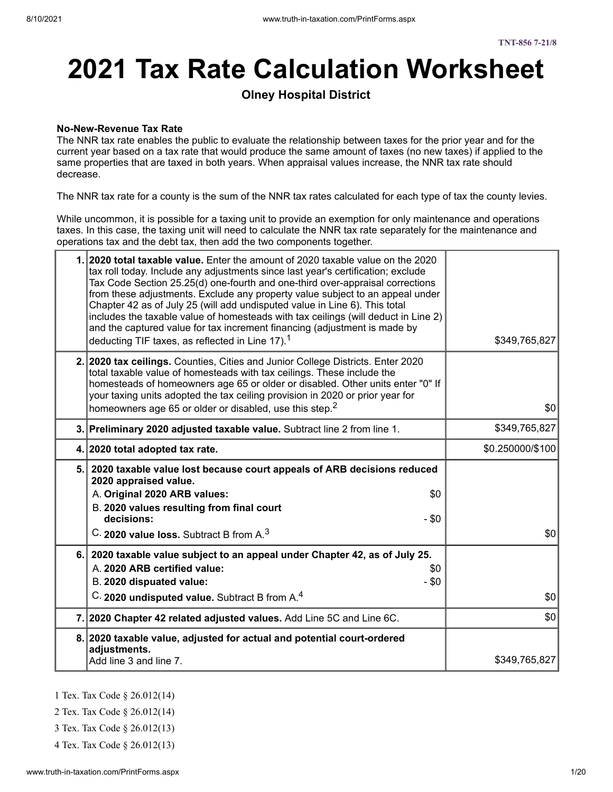# **2021 Tax Rate Calculation Worksheet**

### **Olney Hospital District**

#### **No-New-Revenue Tax Rate**

The NNR tax rate enables the public to evaluate the relationship between taxes for the prior year and for the current year based on a tax rate that would produce the same amount of taxes (no new taxes) if applied to the same properties that are taxed in both years. When appraisal values increase, the NNR tax rate should decrease.

The NNR tax rate for a county is the sum of the NNR tax rates calculated for each type of tax the county levies.

While uncommon, it is possible for a taxing unit to provide an exemption for only maintenance and operations taxes. In this case, the taxing unit will need to calculate the NNR tax rate separately for the maintenance and operations tax and the debt tax, then add the two components together.

| 1. 2020 total taxable value. Enter the amount of 2020 taxable value on the 2020<br>tax roll today. Include any adjustments since last year's certification; exclude<br>Tax Code Section 25.25(d) one-fourth and one-third over-appraisal corrections<br>from these adjustments. Exclude any property value subject to an appeal under<br>Chapter 42 as of July 25 (will add undisputed value in Line 6). This total<br>includes the taxable value of homesteads with tax ceilings (will deduct in Line 2)<br>and the captured value for tax increment financing (adjustment is made by<br>deducting TIF taxes, as reflected in Line 17). <sup>1</sup> | \$349,765,827    |
|-------------------------------------------------------------------------------------------------------------------------------------------------------------------------------------------------------------------------------------------------------------------------------------------------------------------------------------------------------------------------------------------------------------------------------------------------------------------------------------------------------------------------------------------------------------------------------------------------------------------------------------------------------|------------------|
| 2. 2020 tax ceilings. Counties, Cities and Junior College Districts. Enter 2020<br>total taxable value of homesteads with tax ceilings. These include the<br>homesteads of homeowners age 65 or older or disabled. Other units enter "0" If<br>your taxing units adopted the tax ceiling provision in 2020 or prior year for<br>homeowners age 65 or older or disabled, use this step. <sup>2</sup>                                                                                                                                                                                                                                                   | \$0              |
| 3. Preliminary 2020 adjusted taxable value. Subtract line 2 from line 1.                                                                                                                                                                                                                                                                                                                                                                                                                                                                                                                                                                              | \$349,765,827    |
| 4. 2020 total adopted tax rate.                                                                                                                                                                                                                                                                                                                                                                                                                                                                                                                                                                                                                       | \$0.250000/\$100 |
| 5. 2020 taxable value lost because court appeals of ARB decisions reduced<br>2020 appraised value.<br>A. Original 2020 ARB values:<br>\$0                                                                                                                                                                                                                                                                                                                                                                                                                                                                                                             |                  |
| B. 2020 values resulting from final court<br>decisions:<br>$-$ \$0<br>C. 2020 value loss. Subtract B from A. <sup>3</sup>                                                                                                                                                                                                                                                                                                                                                                                                                                                                                                                             | \$0              |
| 6. 2020 taxable value subject to an appeal under Chapter 42, as of July 25.<br>A. 2020 ARB certified value:<br>\$0<br>- \$0<br>B. 2020 dispuated value:<br>C. 2020 undisputed value. Subtract B from A. <sup>4</sup>                                                                                                                                                                                                                                                                                                                                                                                                                                  | \$0              |
| 7. 2020 Chapter 42 related adjusted values. Add Line 5C and Line 6C.                                                                                                                                                                                                                                                                                                                                                                                                                                                                                                                                                                                  | \$0              |

- 1 Tex. Tax Code § 26.012(14)
- 2 Tex. Tax Code § 26.012(14)
- 3 Tex. Tax Code § 26.012(13)
- 4 Tex. Tax Code § 26.012(13)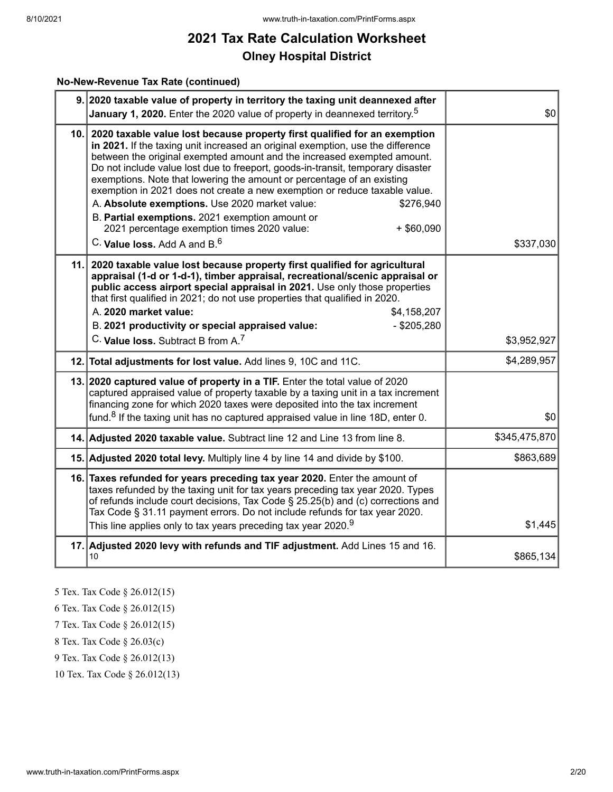#### **No-New-Revenue Tax Rate (continued)**

| 9. 2020 taxable value of property in territory the taxing unit deannexed after<br>January 1, 2020. Enter the 2020 value of property in deannexed territory. <sup>5</sup>                                                                                                                                                                                                                                                                                                                                                                                                                                                                                                                                            | \$0           |
|---------------------------------------------------------------------------------------------------------------------------------------------------------------------------------------------------------------------------------------------------------------------------------------------------------------------------------------------------------------------------------------------------------------------------------------------------------------------------------------------------------------------------------------------------------------------------------------------------------------------------------------------------------------------------------------------------------------------|---------------|
| 10. 2020 taxable value lost because property first qualified for an exemption<br>in 2021. If the taxing unit increased an original exemption, use the difference<br>between the original exempted amount and the increased exempted amount.<br>Do not include value lost due to freeport, goods-in-transit, temporary disaster<br>exemptions. Note that lowering the amount or percentage of an existing<br>exemption in 2021 does not create a new exemption or reduce taxable value.<br>A. Absolute exemptions. Use 2020 market value:<br>\$276,940<br>B. Partial exemptions. 2021 exemption amount or<br>$+$ \$60,090<br>2021 percentage exemption times 2020 value:<br>C. Value loss. Add A and B. <sup>6</sup> | \$337,030     |
| 11. 2020 taxable value lost because property first qualified for agricultural<br>appraisal (1-d or 1-d-1), timber appraisal, recreational/scenic appraisal or<br>public access airport special appraisal in 2021. Use only those properties<br>that first qualified in 2021; do not use properties that qualified in 2020.<br>A. 2020 market value:<br>\$4,158,207<br>B. 2021 productivity or special appraised value:<br>$-$ \$205,280<br>C. Value loss. Subtract B from A. <sup>7</sup>                                                                                                                                                                                                                           | \$3,952,927   |
| 12. Total adjustments for lost value. Add lines 9, 10C and 11C.                                                                                                                                                                                                                                                                                                                                                                                                                                                                                                                                                                                                                                                     | \$4,289,957   |
| 13. 2020 captured value of property in a TIF. Enter the total value of 2020<br>captured appraised value of property taxable by a taxing unit in a tax increment<br>financing zone for which 2020 taxes were deposited into the tax increment<br>fund. <sup>8</sup> If the taxing unit has no captured appraised value in line 18D, enter 0.                                                                                                                                                                                                                                                                                                                                                                         | \$0           |
| 14. Adjusted 2020 taxable value. Subtract line 12 and Line 13 from line 8.                                                                                                                                                                                                                                                                                                                                                                                                                                                                                                                                                                                                                                          | \$345,475,870 |
| 15. Adjusted 2020 total levy. Multiply line 4 by line 14 and divide by \$100.                                                                                                                                                                                                                                                                                                                                                                                                                                                                                                                                                                                                                                       | \$863,689     |
| 16. Taxes refunded for years preceding tax year 2020. Enter the amount of<br>taxes refunded by the taxing unit for tax years preceding tax year 2020. Types<br>of refunds include court decisions, Tax Code § 25.25(b) and (c) corrections and<br>Tax Code § 31.11 payment errors. Do not include refunds for tax year 2020.<br>This line applies only to tax years preceding tax year 2020. $^9$                                                                                                                                                                                                                                                                                                                   | \$1,445       |
| 17. Adjusted 2020 levy with refunds and TIF adjustment. Add Lines 15 and 16.<br>10                                                                                                                                                                                                                                                                                                                                                                                                                                                                                                                                                                                                                                  | \$865,134     |

- 5 Tex. Tax Code § 26.012(15)
- 6 Tex. Tax Code § 26.012(15)
- 7 Tex. Tax Code § 26.012(15)
- 8 Tex. Tax Code § 26.03(c)
- 9 Tex. Tax Code § 26.012(13)
- 10 Tex. Tax Code § 26.012(13)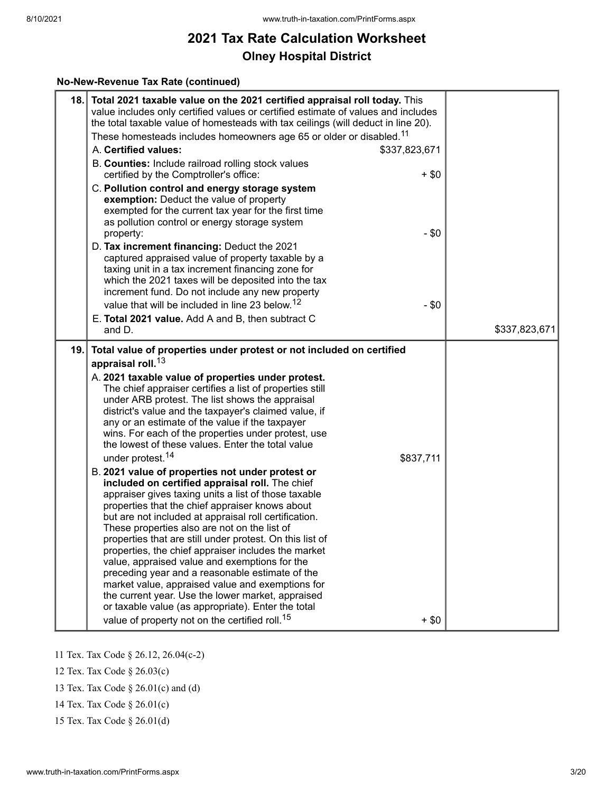#### **No-New-Revenue Tax Rate (continued)**

| 18. | Total 2021 taxable value on the 2021 certified appraisal roll today. This<br>value includes only certified values or certified estimate of values and includes<br>the total taxable value of homesteads with tax ceilings (will deduct in line 20).<br>These homesteads includes homeowners age 65 or older or disabled. <sup>11</sup>                                                                                                                                                                                                                                                                                                                                                                                                                                                                                                                                                                                                                                                                                                                                                                                                                                                                                                                                                                                                    |               |
|-----|-------------------------------------------------------------------------------------------------------------------------------------------------------------------------------------------------------------------------------------------------------------------------------------------------------------------------------------------------------------------------------------------------------------------------------------------------------------------------------------------------------------------------------------------------------------------------------------------------------------------------------------------------------------------------------------------------------------------------------------------------------------------------------------------------------------------------------------------------------------------------------------------------------------------------------------------------------------------------------------------------------------------------------------------------------------------------------------------------------------------------------------------------------------------------------------------------------------------------------------------------------------------------------------------------------------------------------------------|---------------|
|     | A. Certified values:<br>\$337,823,671<br>B. Counties: Include railroad rolling stock values                                                                                                                                                                                                                                                                                                                                                                                                                                                                                                                                                                                                                                                                                                                                                                                                                                                                                                                                                                                                                                                                                                                                                                                                                                               |               |
|     | certified by the Comptroller's office:<br>$+$ \$0<br>C. Pollution control and energy storage system<br>exemption: Deduct the value of property<br>exempted for the current tax year for the first time<br>as pollution control or energy storage system<br>$- $0$<br>property:                                                                                                                                                                                                                                                                                                                                                                                                                                                                                                                                                                                                                                                                                                                                                                                                                                                                                                                                                                                                                                                            |               |
|     | D. Tax increment financing: Deduct the 2021<br>captured appraised value of property taxable by a<br>taxing unit in a tax increment financing zone for<br>which the 2021 taxes will be deposited into the tax<br>increment fund. Do not include any new property<br>value that will be included in line 23 below. <sup>12</sup><br>$- $0$                                                                                                                                                                                                                                                                                                                                                                                                                                                                                                                                                                                                                                                                                                                                                                                                                                                                                                                                                                                                  |               |
|     | E. Total 2021 value. Add A and B, then subtract C<br>and D.                                                                                                                                                                                                                                                                                                                                                                                                                                                                                                                                                                                                                                                                                                                                                                                                                                                                                                                                                                                                                                                                                                                                                                                                                                                                               | \$337,823,671 |
| 19. | Total value of properties under protest or not included on certified<br>appraisal roll. <sup>13</sup><br>A. 2021 taxable value of properties under protest.<br>The chief appraiser certifies a list of properties still<br>under ARB protest. The list shows the appraisal<br>district's value and the taxpayer's claimed value, if<br>any or an estimate of the value if the taxpayer<br>wins. For each of the properties under protest, use<br>the lowest of these values. Enter the total value<br>under protest. <sup>14</sup><br>\$837,711<br>B. 2021 value of properties not under protest or<br>included on certified appraisal roll. The chief<br>appraiser gives taxing units a list of those taxable<br>properties that the chief appraiser knows about<br>but are not included at appraisal roll certification.<br>These properties also are not on the list of<br>properties that are still under protest. On this list of<br>properties, the chief appraiser includes the market<br>value, appraised value and exemptions for the<br>preceding year and a reasonable estimate of the<br>market value, appraised value and exemptions for<br>the current year. Use the lower market, appraised<br>or taxable value (as appropriate). Enter the total<br>value of property not on the certified roll. <sup>15</sup><br>$+$ \$0 |               |

11 Tex. Tax Code § 26.12, 26.04(c-2)

- 12 Tex. Tax Code § 26.03(c)
- 13 Tex. Tax Code § 26.01(c) and (d)
- 14 Tex. Tax Code § 26.01(c)
- 15 Tex. Tax Code § 26.01(d)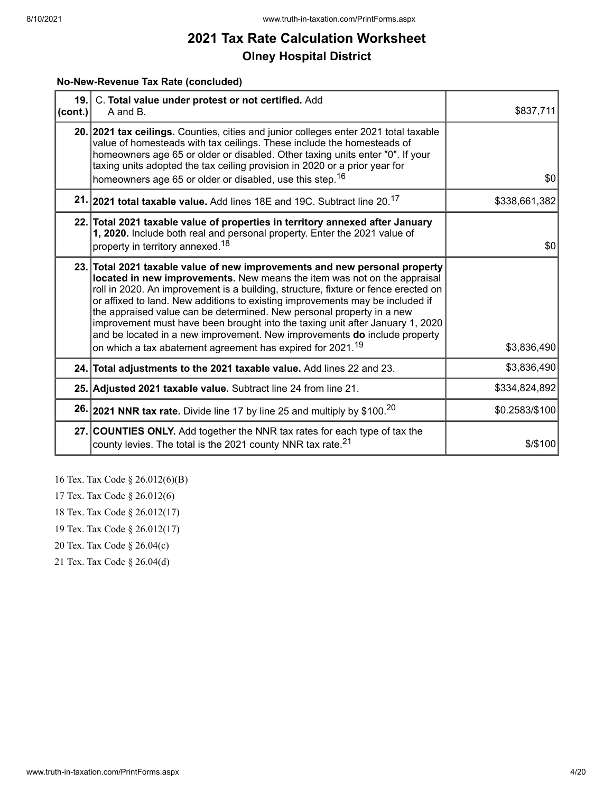#### **No-New-Revenue Tax Rate (concluded)**

| $ $ (cont.) | 19. C. Total value under protest or not certified. Add<br>A and B.                                                                                                                                                                                                                                                                                                                                                                                                                                                                                                                                                                             | \$837,711      |
|-------------|------------------------------------------------------------------------------------------------------------------------------------------------------------------------------------------------------------------------------------------------------------------------------------------------------------------------------------------------------------------------------------------------------------------------------------------------------------------------------------------------------------------------------------------------------------------------------------------------------------------------------------------------|----------------|
|             | 20. 2021 tax ceilings. Counties, cities and junior colleges enter 2021 total taxable<br>value of homesteads with tax ceilings. These include the homesteads of<br>homeowners age 65 or older or disabled. Other taxing units enter "0". If your<br>taxing units adopted the tax ceiling provision in 2020 or a prior year for<br>homeowners age 65 or older or disabled, use this step. <sup>16</sup>                                                                                                                                                                                                                                          | \$0            |
|             | 21. 2021 total taxable value. Add lines 18E and 19C. Subtract line 20. <sup>17</sup>                                                                                                                                                                                                                                                                                                                                                                                                                                                                                                                                                           | \$338,661,382  |
|             | 22. Total 2021 taxable value of properties in territory annexed after January<br>1, 2020. Include both real and personal property. Enter the 2021 value of<br>property in territory annexed. <sup>18</sup>                                                                                                                                                                                                                                                                                                                                                                                                                                     | \$0            |
|             | 23. Total 2021 taxable value of new improvements and new personal property<br>located in new improvements. New means the item was not on the appraisal<br>roll in 2020. An improvement is a building, structure, fixture or fence erected on<br>or affixed to land. New additions to existing improvements may be included if<br>the appraised value can be determined. New personal property in a new<br>improvement must have been brought into the taxing unit after January 1, 2020<br>and be located in a new improvement. New improvements do include property<br>on which a tax abatement agreement has expired for 2021. <sup>19</sup> | \$3,836,490    |
|             | 24. Total adjustments to the 2021 taxable value. Add lines 22 and 23.                                                                                                                                                                                                                                                                                                                                                                                                                                                                                                                                                                          | \$3,836,490    |
|             | 25. Adjusted 2021 taxable value. Subtract line 24 from line 21.                                                                                                                                                                                                                                                                                                                                                                                                                                                                                                                                                                                | \$334,824,892  |
|             | 26. 2021 NNR tax rate. Divide line 17 by line 25 and multiply by \$100. <sup>20</sup>                                                                                                                                                                                                                                                                                                                                                                                                                                                                                                                                                          | \$0.2583/\$100 |
|             | 27. COUNTIES ONLY. Add together the NNR tax rates for each type of tax the<br>county levies. The total is the 2021 county NNR tax rate. <sup>21</sup>                                                                                                                                                                                                                                                                                                                                                                                                                                                                                          | $$$ /\$100     |

- 16 Tex. Tax Code § 26.012(6)(B)
- 17 Tex. Tax Code § 26.012(6)
- 18 Tex. Tax Code § 26.012(17)
- 19 Tex. Tax Code § 26.012(17)
- 20 Tex. Tax Code § 26.04(c)
- 21 Tex. Tax Code § 26.04(d)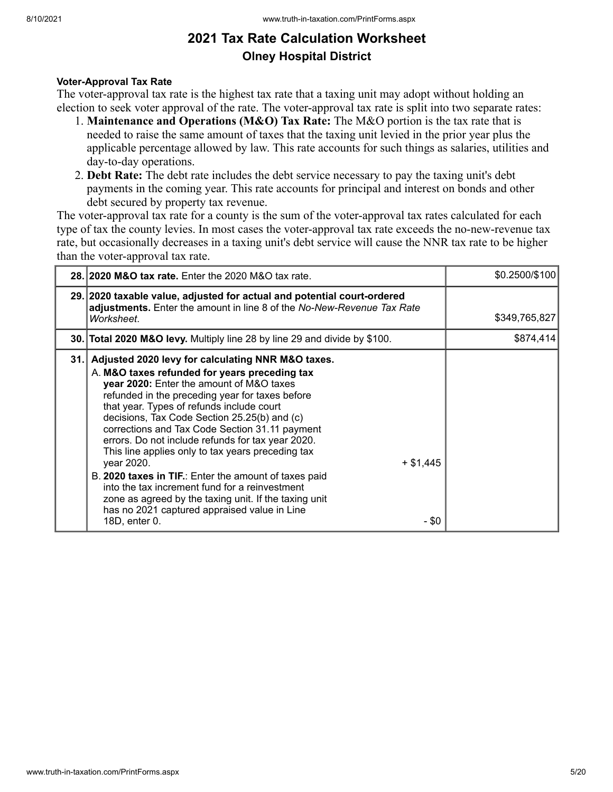#### **Voter-Approval Tax Rate**

The voter-approval tax rate is the highest tax rate that a taxing unit may adopt without holding an election to seek voter approval of the rate. The voter-approval tax rate is split into two separate rates:

- 1. **Maintenance and Operations (M&O) Tax Rate:** The M&O portion is the tax rate that is needed to raise the same amount of taxes that the taxing unit levied in the prior year plus the applicable percentage allowed by law. This rate accounts for such things as salaries, utilities and day-to-day operations.
- 2. **Debt Rate:** The debt rate includes the debt service necessary to pay the taxing unit's debt payments in the coming year. This rate accounts for principal and interest on bonds and other debt secured by property tax revenue.

The voter-approval tax rate for a county is the sum of the voter-approval tax rates calculated for each type of tax the county levies. In most cases the voter-approval tax rate exceeds the no-new-revenue tax rate, but occasionally decreases in a taxing unit's debt service will cause the NNR tax rate to be higher than the voter-approval tax rate.

| 28.12020 M&O tax rate. Enter the 2020 M&O tax rate.                                                                                                                                                                                                                                                                                                                                                                                                                                                                                                                                                                                                                                                                                       | \$0.2500/\$100 |
|-------------------------------------------------------------------------------------------------------------------------------------------------------------------------------------------------------------------------------------------------------------------------------------------------------------------------------------------------------------------------------------------------------------------------------------------------------------------------------------------------------------------------------------------------------------------------------------------------------------------------------------------------------------------------------------------------------------------------------------------|----------------|
| 29. 2020 taxable value, adjusted for actual and potential court-ordered<br>adjustments. Enter the amount in line 8 of the No-New-Revenue Tax Rate<br>Worksheet.                                                                                                                                                                                                                                                                                                                                                                                                                                                                                                                                                                           | \$349,765,827  |
| 30. Total 2020 M&O levy. Multiply line 28 by line 29 and divide by \$100.                                                                                                                                                                                                                                                                                                                                                                                                                                                                                                                                                                                                                                                                 | \$874,414      |
| 31. Adjusted 2020 levy for calculating NNR M&O taxes.<br>A. M&O taxes refunded for years preceding tax<br>year 2020: Enter the amount of M&O taxes<br>refunded in the preceding year for taxes before<br>that year. Types of refunds include court<br>decisions, Tax Code Section 25.25(b) and (c)<br>corrections and Tax Code Section 31.11 payment<br>errors. Do not include refunds for tax year 2020.<br>This line applies only to tax years preceding tax<br>year 2020.<br>$+$ \$1,445<br>B. 2020 taxes in TIF.: Enter the amount of taxes paid<br>into the tax increment fund for a reinvestment<br>zone as agreed by the taxing unit. If the taxing unit<br>has no 2021 captured appraised value in Line<br>18D, enter 0.<br>- \$0 |                |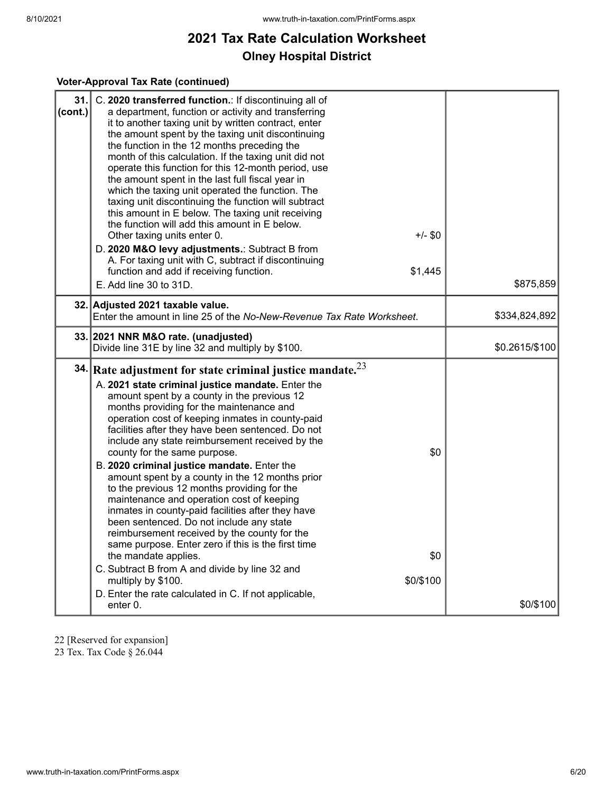#### **Voter-Approval Tax Rate (continued)**

| 31.<br>(cont.) | C. 2020 transferred function.: If discontinuing all of<br>a department, function or activity and transferring<br>it to another taxing unit by written contract, enter<br>the amount spent by the taxing unit discontinuing<br>the function in the 12 months preceding the<br>month of this calculation. If the taxing unit did not<br>operate this function for this 12-month period, use<br>the amount spent in the last full fiscal year in<br>which the taxing unit operated the function. The<br>taxing unit discontinuing the function will subtract<br>this amount in E below. The taxing unit receiving<br>the function will add this amount in E below.<br>$+/-$ \$0<br>Other taxing units enter 0.<br>D. 2020 M&O levy adjustments.: Subtract B from<br>A. For taxing unit with C, subtract if discontinuing<br>\$1,445<br>function and add if receiving function.<br>E. Add line 30 to 31D. | \$875,859      |
|----------------|-------------------------------------------------------------------------------------------------------------------------------------------------------------------------------------------------------------------------------------------------------------------------------------------------------------------------------------------------------------------------------------------------------------------------------------------------------------------------------------------------------------------------------------------------------------------------------------------------------------------------------------------------------------------------------------------------------------------------------------------------------------------------------------------------------------------------------------------------------------------------------------------------------|----------------|
|                | 32. Adjusted 2021 taxable value.<br>Enter the amount in line 25 of the No-New-Revenue Tax Rate Worksheet.                                                                                                                                                                                                                                                                                                                                                                                                                                                                                                                                                                                                                                                                                                                                                                                             | \$334,824,892  |
|                | 33. 2021 NNR M&O rate. (unadjusted)<br>Divide line 31E by line 32 and multiply by \$100.                                                                                                                                                                                                                                                                                                                                                                                                                                                                                                                                                                                                                                                                                                                                                                                                              | \$0.2615/\$100 |
|                | 34. Rate adjustment for state criminal justice mandate. $2^3$<br>A. 2021 state criminal justice mandate. Enter the<br>amount spent by a county in the previous 12<br>months providing for the maintenance and<br>operation cost of keeping inmates in county-paid<br>facilities after they have been sentenced. Do not<br>include any state reimbursement received by the<br>\$0<br>county for the same purpose.<br>B. 2020 criminal justice mandate. Enter the<br>amount spent by a county in the 12 months prior<br>to the previous 12 months providing for the<br>maintenance and operation cost of keeping<br>inmates in county-paid facilities after they have                                                                                                                                                                                                                                   |                |
|                | been sentenced. Do not include any state<br>reimbursement received by the county for the<br>same purpose. Enter zero if this is the first time<br>\$0<br>the mandate applies.<br>C. Subtract B from A and divide by line 32 and<br>\$0/\$100<br>multiply by \$100.<br>D. Enter the rate calculated in C. If not applicable,<br>enter 0.                                                                                                                                                                                                                                                                                                                                                                                                                                                                                                                                                               | \$0/\$100      |

22 [Reserved for expansion]

23 Tex. Tax Code § 26.044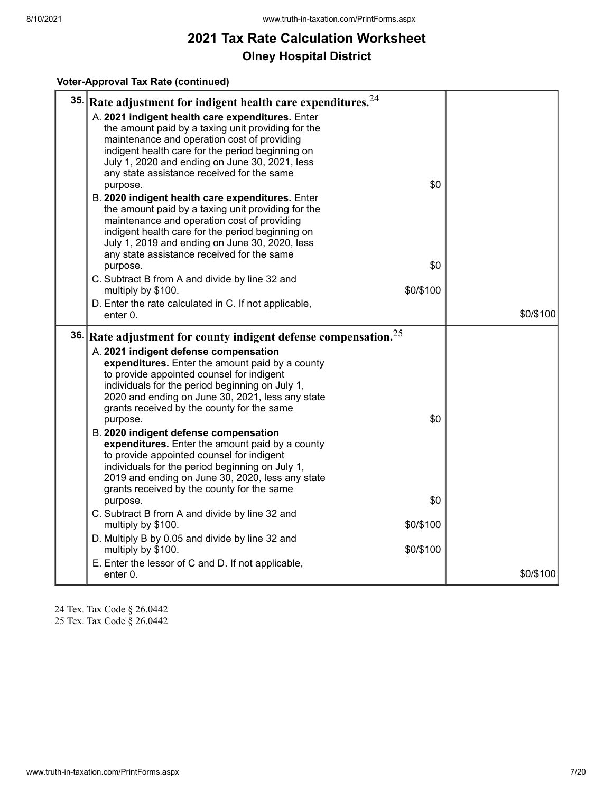#### **Voter-Approval Tax Rate (continued)**

| 35. | Rate adjustment for indigent health care expenditures. <sup>24</sup>                                   |           |
|-----|--------------------------------------------------------------------------------------------------------|-----------|
|     | A. 2021 indigent health care expenditures. Enter                                                       |           |
|     | the amount paid by a taxing unit providing for the                                                     |           |
|     | maintenance and operation cost of providing<br>indigent health care for the period beginning on        |           |
|     | July 1, 2020 and ending on June 30, 2021, less                                                         |           |
|     | any state assistance received for the same                                                             |           |
|     | \$0<br>purpose.                                                                                        |           |
|     | B. 2020 indigent health care expenditures. Enter<br>the amount paid by a taxing unit providing for the |           |
|     | maintenance and operation cost of providing                                                            |           |
|     | indigent health care for the period beginning on                                                       |           |
|     | July 1, 2019 and ending on June 30, 2020, less                                                         |           |
|     | any state assistance received for the same<br>\$0<br>purpose.                                          |           |
|     | C. Subtract B from A and divide by line 32 and                                                         |           |
|     | \$0/\$100<br>multiply by \$100.                                                                        |           |
|     | D. Enter the rate calculated in C. If not applicable,                                                  |           |
|     | enter 0.                                                                                               | \$0/\$100 |
|     | 36. Rate adjustment for county indigent defense compensation. $25$                                     |           |
|     | A. 2021 indigent defense compensation                                                                  |           |
|     | expenditures. Enter the amount paid by a county                                                        |           |
|     | to provide appointed counsel for indigent<br>individuals for the period beginning on July 1,           |           |
|     | 2020 and ending on June 30, 2021, less any state                                                       |           |
|     | grants received by the county for the same                                                             |           |
|     | \$0<br>purpose.                                                                                        |           |
|     | B. 2020 indigent defense compensation<br>expenditures. Enter the amount paid by a county               |           |
|     | to provide appointed counsel for indigent                                                              |           |
|     | individuals for the period beginning on July 1,                                                        |           |
|     | 2019 and ending on June 30, 2020, less any state<br>grants received by the county for the same         |           |
|     | \$0<br>purpose.                                                                                        |           |
|     | C. Subtract B from A and divide by line 32 and                                                         |           |
|     | multiply by \$100.<br>\$0/\$100                                                                        |           |
|     | D. Multiply B by 0.05 and divide by line 32 and                                                        |           |
|     | multiply by \$100.<br>\$0/\$100                                                                        |           |
|     | E. Enter the lessor of C and D. If not applicable,<br>enter 0.                                         | \$0/\$100 |
|     |                                                                                                        |           |

24 Tex. Tax Code § 26.0442

25 Tex. Tax Code § 26.0442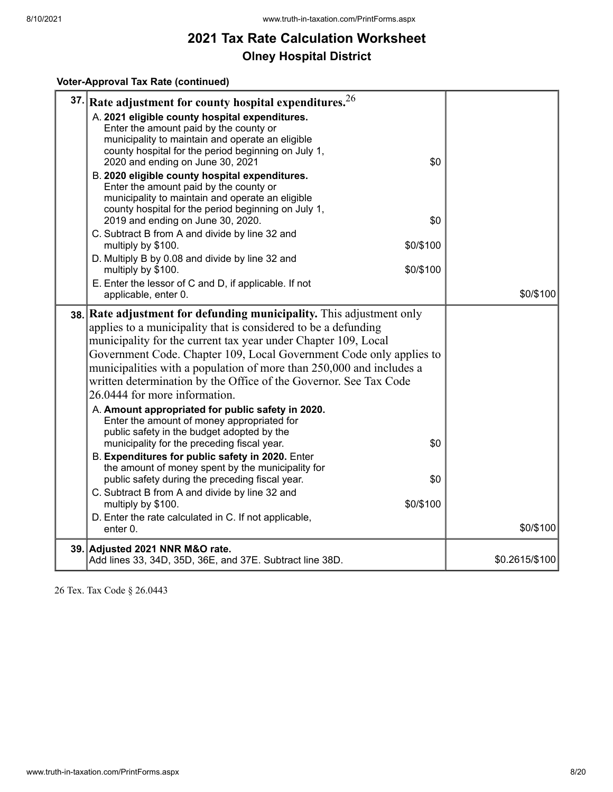### **Voter-Approval Tax Rate (continued)**

| A. 2021 eligible county hospital expenditures.<br>Enter the amount paid by the county or<br>municipality to maintain and operate an eligible<br>county hospital for the period beginning on July 1,<br>2020 and ending on June 30, 2021<br>\$0<br>B. 2020 eligible county hospital expenditures.<br>Enter the amount paid by the county or<br>municipality to maintain and operate an eligible<br>county hospital for the period beginning on July 1,<br>2019 and ending on June 30, 2020.<br>\$0<br>C. Subtract B from A and divide by line 32 and<br>\$0/\$100<br>multiply by \$100.<br>D. Multiply B by 0.08 and divide by line 32 and<br>\$0/\$100<br>multiply by \$100.<br>E. Enter the lessor of C and D, if applicable. If not<br>\$0/\$100<br>applicable, enter 0.<br>38. Rate adjustment for defunding municipality. This adjustment only<br>applies to a municipality that is considered to be a defunding<br>municipality for the current tax year under Chapter 109, Local<br>Government Code. Chapter 109, Local Government Code only applies to<br>municipalities with a population of more than 250,000 and includes a<br>written determination by the Office of the Governor. See Tax Code<br>26.0444 for more information.<br>A. Amount appropriated for public safety in 2020.<br>Enter the amount of money appropriated for<br>public safety in the budget adopted by the<br>municipality for the preceding fiscal year.<br>\$0<br>B. Expenditures for public safety in 2020. Enter<br>the amount of money spent by the municipality for<br>public safety during the preceding fiscal year.<br>\$0<br>C. Subtract B from A and divide by line 32 and<br>\$0/\$100<br>multiply by \$100.<br>D. Enter the rate calculated in C. If not applicable,<br>\$0/\$100<br>enter 0.<br>39. Adjusted 2021 NNR M&O rate.<br>\$0.2615/\$100<br>Add lines 33, 34D, 35D, 36E, and 37E. Subtract line 38D. | 37. Rate adjustment for county hospital expenditures. $26$ |  |
|---------------------------------------------------------------------------------------------------------------------------------------------------------------------------------------------------------------------------------------------------------------------------------------------------------------------------------------------------------------------------------------------------------------------------------------------------------------------------------------------------------------------------------------------------------------------------------------------------------------------------------------------------------------------------------------------------------------------------------------------------------------------------------------------------------------------------------------------------------------------------------------------------------------------------------------------------------------------------------------------------------------------------------------------------------------------------------------------------------------------------------------------------------------------------------------------------------------------------------------------------------------------------------------------------------------------------------------------------------------------------------------------------------------------------------------------------------------------------------------------------------------------------------------------------------------------------------------------------------------------------------------------------------------------------------------------------------------------------------------------------------------------------------------------------------------------------------------------------------------------------------------------------------------|------------------------------------------------------------|--|
|                                                                                                                                                                                                                                                                                                                                                                                                                                                                                                                                                                                                                                                                                                                                                                                                                                                                                                                                                                                                                                                                                                                                                                                                                                                                                                                                                                                                                                                                                                                                                                                                                                                                                                                                                                                                                                                                                                               |                                                            |  |
|                                                                                                                                                                                                                                                                                                                                                                                                                                                                                                                                                                                                                                                                                                                                                                                                                                                                                                                                                                                                                                                                                                                                                                                                                                                                                                                                                                                                                                                                                                                                                                                                                                                                                                                                                                                                                                                                                                               |                                                            |  |
|                                                                                                                                                                                                                                                                                                                                                                                                                                                                                                                                                                                                                                                                                                                                                                                                                                                                                                                                                                                                                                                                                                                                                                                                                                                                                                                                                                                                                                                                                                                                                                                                                                                                                                                                                                                                                                                                                                               |                                                            |  |
|                                                                                                                                                                                                                                                                                                                                                                                                                                                                                                                                                                                                                                                                                                                                                                                                                                                                                                                                                                                                                                                                                                                                                                                                                                                                                                                                                                                                                                                                                                                                                                                                                                                                                                                                                                                                                                                                                                               |                                                            |  |
|                                                                                                                                                                                                                                                                                                                                                                                                                                                                                                                                                                                                                                                                                                                                                                                                                                                                                                                                                                                                                                                                                                                                                                                                                                                                                                                                                                                                                                                                                                                                                                                                                                                                                                                                                                                                                                                                                                               |                                                            |  |
|                                                                                                                                                                                                                                                                                                                                                                                                                                                                                                                                                                                                                                                                                                                                                                                                                                                                                                                                                                                                                                                                                                                                                                                                                                                                                                                                                                                                                                                                                                                                                                                                                                                                                                                                                                                                                                                                                                               |                                                            |  |

26 Tex. Tax Code § 26.0443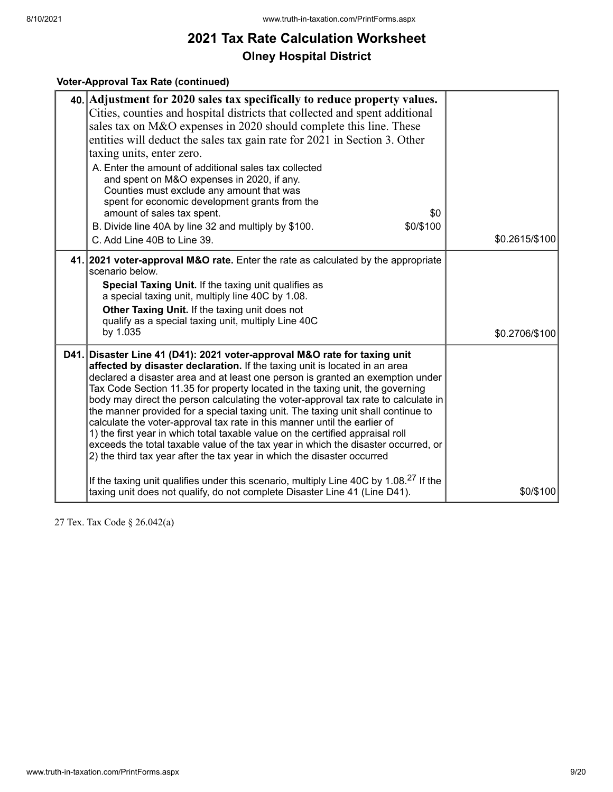### **Voter-Approval Tax Rate (continued)**

| 40. Adjustment for 2020 sales tax specifically to reduce property values.<br>Cities, counties and hospital districts that collected and spent additional<br>sales tax on M&O expenses in 2020 should complete this line. These<br>entities will deduct the sales tax gain rate for 2021 in Section 3. Other<br>taxing units, enter zero.<br>A. Enter the amount of additional sales tax collected<br>and spent on M&O expenses in 2020, if any.<br>Counties must exclude any amount that was                                                                                                                                                                                                                                                                                                                                         |                |
|--------------------------------------------------------------------------------------------------------------------------------------------------------------------------------------------------------------------------------------------------------------------------------------------------------------------------------------------------------------------------------------------------------------------------------------------------------------------------------------------------------------------------------------------------------------------------------------------------------------------------------------------------------------------------------------------------------------------------------------------------------------------------------------------------------------------------------------|----------------|
| spent for economic development grants from the<br>amount of sales tax spent.<br>\$0                                                                                                                                                                                                                                                                                                                                                                                                                                                                                                                                                                                                                                                                                                                                                  |                |
| \$0/\$100<br>B. Divide line 40A by line 32 and multiply by \$100.<br>C. Add Line 40B to Line 39.                                                                                                                                                                                                                                                                                                                                                                                                                                                                                                                                                                                                                                                                                                                                     | \$0.2615/\$100 |
| 41. 2021 voter-approval M&O rate. Enter the rate as calculated by the appropriate<br>scenario below.<br>Special Taxing Unit. If the taxing unit qualifies as<br>a special taxing unit, multiply line 40C by 1.08.<br>Other Taxing Unit. If the taxing unit does not<br>qualify as a special taxing unit, multiply Line 40C<br>by 1.035                                                                                                                                                                                                                                                                                                                                                                                                                                                                                               | \$0.2706/\$100 |
| D41. Disaster Line 41 (D41): 2021 voter-approval M&O rate for taxing unit<br>affected by disaster declaration. If the taxing unit is located in an area<br>declared a disaster area and at least one person is granted an exemption under<br>Tax Code Section 11.35 for property located in the taxing unit, the governing<br>body may direct the person calculating the voter-approval tax rate to calculate in<br>the manner provided for a special taxing unit. The taxing unit shall continue to<br>calculate the voter-approval tax rate in this manner until the earlier of<br>1) the first year in which total taxable value on the certified appraisal roll<br>exceeds the total taxable value of the tax year in which the disaster occurred, or<br>2) the third tax year after the tax year in which the disaster occurred |                |
| If the taxing unit qualifies under this scenario, multiply Line 40C by 1.08. <sup>27</sup> If the<br>taxing unit does not qualify, do not complete Disaster Line 41 (Line D41).                                                                                                                                                                                                                                                                                                                                                                                                                                                                                                                                                                                                                                                      | \$0/\$100      |

27 Tex. Tax Code § 26.042(a)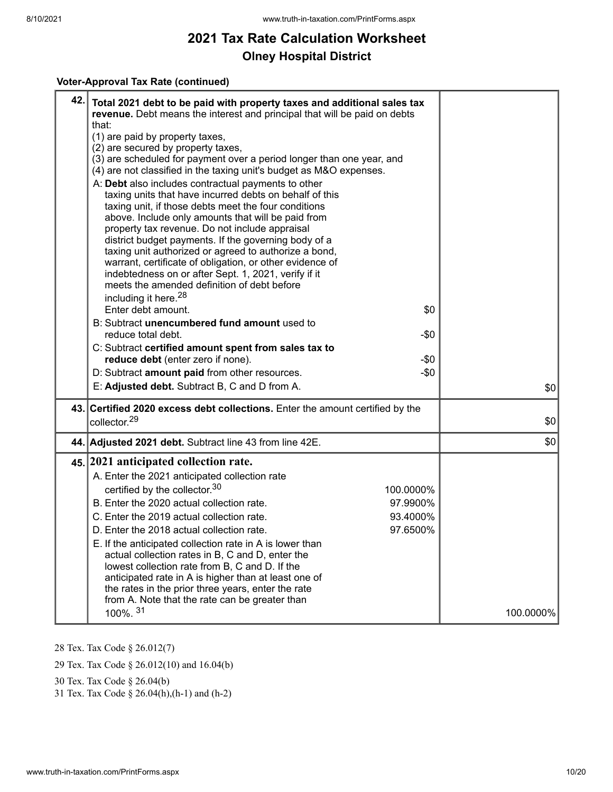#### **Voter-Approval Tax Rate (continued)**

| 42. Total 2021 debt to be paid with property taxes and additional sales tax<br>revenue. Debt means the interest and principal that will be paid on debts<br>that:<br>(1) are paid by property taxes,<br>(2) are secured by property taxes,<br>(3) are scheduled for payment over a period longer than one year, and<br>(4) are not classified in the taxing unit's budget as M&O expenses.<br>A: Debt also includes contractual payments to other<br>taxing units that have incurred debts on behalf of this<br>taxing unit, if those debts meet the four conditions<br>above. Include only amounts that will be paid from<br>property tax revenue. Do not include appraisal<br>district budget payments. If the governing body of a<br>taxing unit authorized or agreed to authorize a bond,<br>warrant, certificate of obligation, or other evidence of<br>indebtedness on or after Sept. 1, 2021, verify if it<br>meets the amended definition of debt before<br>including it here. <sup>28</sup><br>Enter debt amount.<br>B: Subtract unencumbered fund amount used to<br>reduce total debt. | \$0<br>$-50$         |           |
|--------------------------------------------------------------------------------------------------------------------------------------------------------------------------------------------------------------------------------------------------------------------------------------------------------------------------------------------------------------------------------------------------------------------------------------------------------------------------------------------------------------------------------------------------------------------------------------------------------------------------------------------------------------------------------------------------------------------------------------------------------------------------------------------------------------------------------------------------------------------------------------------------------------------------------------------------------------------------------------------------------------------------------------------------------------------------------------------------|----------------------|-----------|
| C: Subtract certified amount spent from sales tax to                                                                                                                                                                                                                                                                                                                                                                                                                                                                                                                                                                                                                                                                                                                                                                                                                                                                                                                                                                                                                                             | $-50$                |           |
| reduce debt (enter zero if none).<br>D: Subtract amount paid from other resources.                                                                                                                                                                                                                                                                                                                                                                                                                                                                                                                                                                                                                                                                                                                                                                                                                                                                                                                                                                                                               | $-\$0$               |           |
| E: Adjusted debt. Subtract B, C and D from A.                                                                                                                                                                                                                                                                                                                                                                                                                                                                                                                                                                                                                                                                                                                                                                                                                                                                                                                                                                                                                                                    |                      | 30        |
| 43. Certified 2020 excess debt collections. Enter the amount certified by the<br>collector. <sup>29</sup>                                                                                                                                                                                                                                                                                                                                                                                                                                                                                                                                                                                                                                                                                                                                                                                                                                                                                                                                                                                        |                      | 30        |
| 44. Adjusted 2021 debt. Subtract line 43 from line 42E.                                                                                                                                                                                                                                                                                                                                                                                                                                                                                                                                                                                                                                                                                                                                                                                                                                                                                                                                                                                                                                          |                      | \$0       |
| 45. 2021 anticipated collection rate.                                                                                                                                                                                                                                                                                                                                                                                                                                                                                                                                                                                                                                                                                                                                                                                                                                                                                                                                                                                                                                                            |                      |           |
| A. Enter the 2021 anticipated collection rate                                                                                                                                                                                                                                                                                                                                                                                                                                                                                                                                                                                                                                                                                                                                                                                                                                                                                                                                                                                                                                                    |                      |           |
| certified by the collector. <sup>30</sup>                                                                                                                                                                                                                                                                                                                                                                                                                                                                                                                                                                                                                                                                                                                                                                                                                                                                                                                                                                                                                                                        | 100.0000%            |           |
| B. Enter the 2020 actual collection rate.                                                                                                                                                                                                                                                                                                                                                                                                                                                                                                                                                                                                                                                                                                                                                                                                                                                                                                                                                                                                                                                        | 97.9900%             |           |
| C. Enter the 2019 actual collection rate.<br>D. Enter the 2018 actual collection rate.                                                                                                                                                                                                                                                                                                                                                                                                                                                                                                                                                                                                                                                                                                                                                                                                                                                                                                                                                                                                           | 93.4000%<br>97.6500% |           |
| E. If the anticipated collection rate in A is lower than<br>actual collection rates in B, C and D, enter the<br>lowest collection rate from B, C and D. If the<br>anticipated rate in A is higher than at least one of<br>the rates in the prior three years, enter the rate<br>from A. Note that the rate can be greater than                                                                                                                                                                                                                                                                                                                                                                                                                                                                                                                                                                                                                                                                                                                                                                   |                      |           |
| 100%. 31                                                                                                                                                                                                                                                                                                                                                                                                                                                                                                                                                                                                                                                                                                                                                                                                                                                                                                                                                                                                                                                                                         |                      | 100.0000% |

28 Tex. Tax Code § 26.012(7)

29 Tex. Tax Code § 26.012(10) and 16.04(b)

30 Tex. Tax Code § 26.04(b)

31 Tex. Tax Code § 26.04(h),(h-1) and (h-2)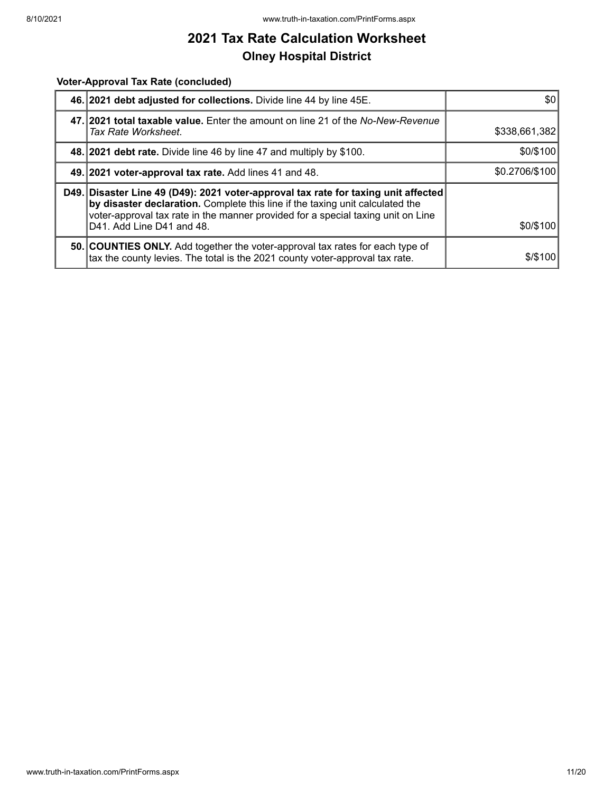#### **Voter-Approval Tax Rate (concluded)**

| 46. 2021 debt adjusted for collections. Divide line 44 by line 45E.                                                                                                                                                                                                                  | \$0            |
|--------------------------------------------------------------------------------------------------------------------------------------------------------------------------------------------------------------------------------------------------------------------------------------|----------------|
| 47. 2021 total taxable value. Enter the amount on line 21 of the No-New-Revenue<br>Tax Rate Worksheet.                                                                                                                                                                               | \$338,661,382  |
| 48. 2021 debt rate. Divide line 46 by line 47 and multiply by \$100.                                                                                                                                                                                                                 | \$0/\$100      |
| 49. 2021 voter-approval tax rate. Add lines 41 and 48.                                                                                                                                                                                                                               | \$0.2706/\$100 |
| D49. Disaster Line 49 (D49): 2021 voter-approval tax rate for taxing unit affected<br>by disaster declaration. Complete this line if the taxing unit calculated the<br>voter-approval tax rate in the manner provided for a special taxing unit on Line<br>D41. Add Line D41 and 48. | \$0/\$100      |
| 50. COUNTIES ONLY. Add together the voter-approval tax rates for each type of<br>tax the county levies. The total is the 2021 county voter-approval tax rate.                                                                                                                        | \$/\$100       |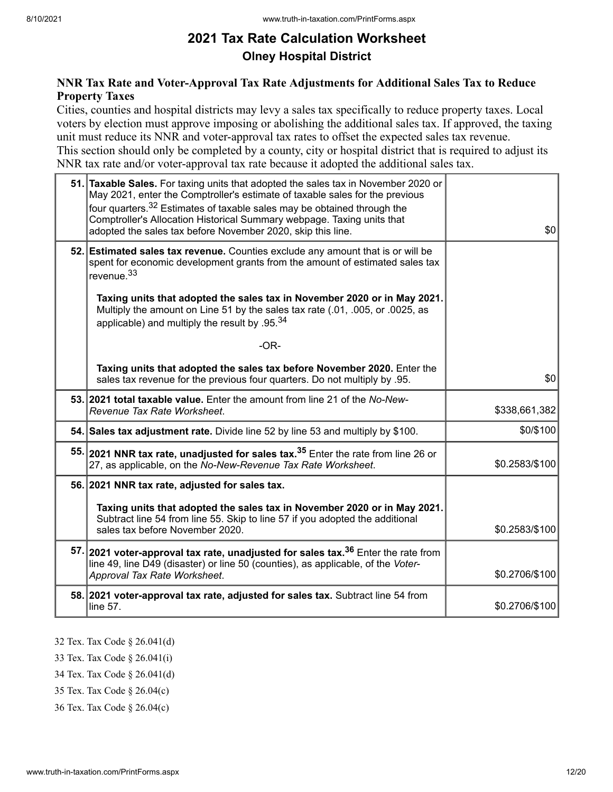### **NNR Tax Rate and Voter-Approval Tax Rate Adjustments for Additional Sales Tax to Reduce Property Taxes**

Cities, counties and hospital districts may levy a sales tax specifically to reduce property taxes. Local voters by election must approve imposing or abolishing the additional sales tax. If approved, the taxing unit must reduce its NNR and voter-approval tax rates to offset the expected sales tax revenue. This section should only be completed by a county, city or hospital district that is required to adjust its NNR tax rate and/or voter-approval tax rate because it adopted the additional sales tax.

| 51. Taxable Sales. For taxing units that adopted the sales tax in November 2020 or<br>May 2021, enter the Comptroller's estimate of taxable sales for the previous<br>four quarters. <sup>32</sup> Estimates of taxable sales may be obtained through the<br>Comptroller's Allocation Historical Summary webpage. Taxing units that<br>adopted the sales tax before November 2020, skip this line. | \$0            |
|----------------------------------------------------------------------------------------------------------------------------------------------------------------------------------------------------------------------------------------------------------------------------------------------------------------------------------------------------------------------------------------------------|----------------|
| 52. Estimated sales tax revenue. Counties exclude any amount that is or will be<br>spent for economic development grants from the amount of estimated sales tax<br>revenue. <sup>33</sup>                                                                                                                                                                                                          |                |
| Taxing units that adopted the sales tax in November 2020 or in May 2021.<br>Multiply the amount on Line 51 by the sales tax rate (.01, .005, or .0025, as<br>applicable) and multiply the result by .95. $34$                                                                                                                                                                                      |                |
| $-OR-$                                                                                                                                                                                                                                                                                                                                                                                             |                |
| Taxing units that adopted the sales tax before November 2020. Enter the<br>sales tax revenue for the previous four quarters. Do not multiply by .95.                                                                                                                                                                                                                                               | \$0            |
| 53. 2021 total taxable value. Enter the amount from line 21 of the No-New-<br>Revenue Tax Rate Worksheet.                                                                                                                                                                                                                                                                                          | \$338,661,382  |
| 54. Sales tax adjustment rate. Divide line 52 by line 53 and multiply by \$100.                                                                                                                                                                                                                                                                                                                    | \$0/\$100      |
| 55. 2021 NNR tax rate, unadjusted for sales tax. <sup>35</sup> Enter the rate from line 26 or<br>27, as applicable, on the No-New-Revenue Tax Rate Worksheet.                                                                                                                                                                                                                                      | \$0.2583/\$100 |
| 56. 2021 NNR tax rate, adjusted for sales tax.                                                                                                                                                                                                                                                                                                                                                     |                |
| Taxing units that adopted the sales tax in November 2020 or in May 2021.<br>Subtract line 54 from line 55. Skip to line 57 if you adopted the additional<br>sales tax before November 2020.                                                                                                                                                                                                        | \$0.2583/\$100 |
| 57. 2021 voter-approval tax rate, unadjusted for sales tax. <sup>36</sup> Enter the rate from<br>line 49, line D49 (disaster) or line 50 (counties), as applicable, of the Voter-<br>Approval Tax Rate Worksheet.                                                                                                                                                                                  | \$0.2706/\$100 |
| 58. 2021 voter-approval tax rate, adjusted for sales tax. Subtract line 54 from<br>line 57.                                                                                                                                                                                                                                                                                                        | \$0.2706/\$100 |

- 32 Tex. Tax Code § 26.041(d)
- 33 Tex. Tax Code § 26.041(i)
- 34 Tex. Tax Code § 26.041(d)
- 35 Tex. Tax Code § 26.04(c)
- 36 Tex. Tax Code § 26.04(c)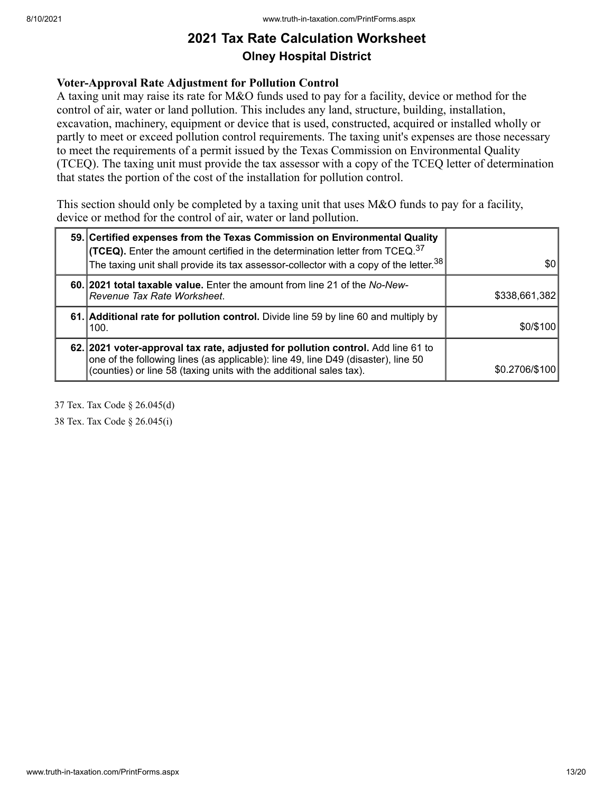#### **Voter-Approval Rate Adjustment for Pollution Control**

A taxing unit may raise its rate for M&O funds used to pay for a facility, device or method for the control of air, water or land pollution. This includes any land, structure, building, installation, excavation, machinery, equipment or device that is used, constructed, acquired or installed wholly or partly to meet or exceed pollution control requirements. The taxing unit's expenses are those necessary to meet the requirements of a permit issued by the Texas Commission on Environmental Quality (TCEQ). The taxing unit must provide the tax assessor with a copy of the TCEQ letter of determination that states the portion of the cost of the installation for pollution control.

This section should only be completed by a taxing unit that uses M&O funds to pay for a facility, device or method for the control of air, water or land pollution.

| 59. Certified expenses from the Texas Commission on Environmental Quality<br><b>(TCEQ).</b> Enter the amount certified in the determination letter from TCEQ. <sup>37</sup><br>The taxing unit shall provide its tax assessor-collector with a copy of the letter. $38$ | \$0            |
|-------------------------------------------------------------------------------------------------------------------------------------------------------------------------------------------------------------------------------------------------------------------------|----------------|
| 60. 2021 total taxable value. Enter the amount from line 21 of the No-New-<br>Revenue Tax Rate Worksheet.                                                                                                                                                               | \$338,661,382  |
| 61. Additional rate for pollution control. Divide line 59 by line 60 and multiply by<br>100.                                                                                                                                                                            | \$0/\$100      |
| 62. 2021 voter-approval tax rate, adjusted for pollution control. Add line 61 to<br>one of the following lines (as applicable): line 49, line D49 (disaster), line 50<br>(counties) or line 58 (taxing units with the additional sales tax).                            | \$0.2706/\$100 |

37 Tex. Tax Code § 26.045(d)

38 Tex. Tax Code § 26.045(i)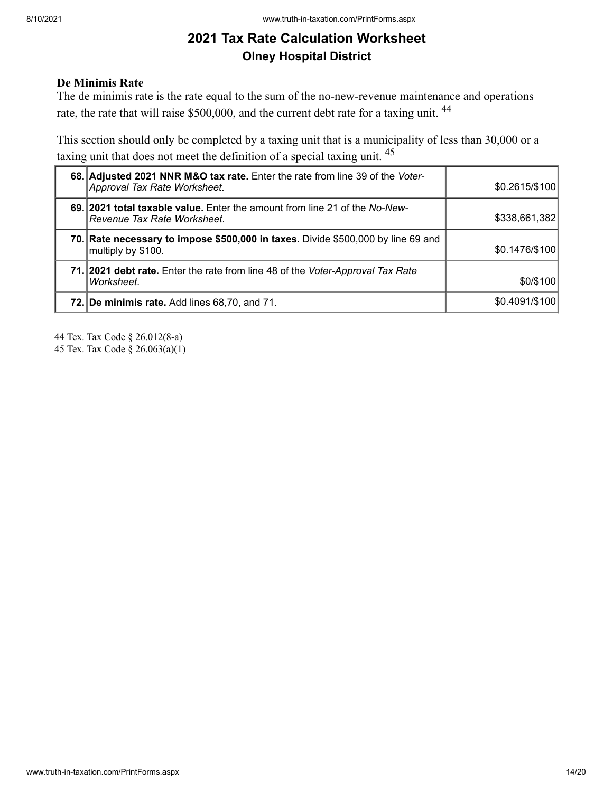### **De Minimis Rate**

The de minimis rate is the rate equal to the sum of the no-new-revenue maintenance and operations rate, the rate that will raise \$500,000, and the current debt rate for a taxing unit. <sup>44</sup>

This section should only be completed by a taxing unit that is a municipality of less than 30,000 or a taxing unit that does not meet the definition of a special taxing unit. <sup>45</sup>

| 68. Adjusted 2021 NNR M&O tax rate. Enter the rate from line 39 of the Voter-<br>Approval Tax Rate Worksheet. | \$0.2615/\$100 |
|---------------------------------------------------------------------------------------------------------------|----------------|
| 69. 2021 total taxable value. Enter the amount from line 21 of the No-New-<br>Revenue Tax Rate Worksheet.     | \$338,661,382  |
| 70. Rate necessary to impose \$500,000 in taxes. Divide \$500,000 by line 69 and<br>multiply by \$100.        | \$0.1476/\$100 |
| 71. 2021 debt rate. Enter the rate from line 48 of the <i>Voter-Approval Tax Rate</i><br>Worksheet.           | \$0/\$100      |
| 72. De minimis rate. Add lines 68,70, and 71.                                                                 | \$0.4091/\$100 |

44 Tex. Tax Code § 26.012(8-a)

45 Tex. Tax Code § 26.063(a)(1)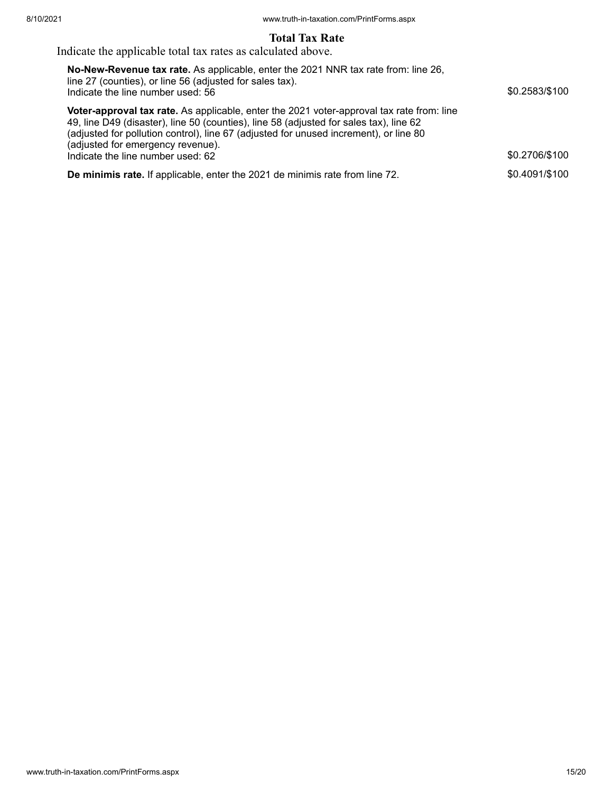### **Total Tax Rate**

Indicate the applicable total tax rates as calculated above.

| No-New-Revenue tax rate. As applicable, enter the 2021 NNR tax rate from: line 26,<br>line 27 (counties), or line 56 (adjusted for sales tax).<br>Indicate the line number used: 56                                                                                                                               | \$0.2583/\$100 |
|-------------------------------------------------------------------------------------------------------------------------------------------------------------------------------------------------------------------------------------------------------------------------------------------------------------------|----------------|
| Voter-approval tax rate. As applicable, enter the 2021 voter-approval tax rate from: line<br>49, line D49 (disaster), line 50 (counties), line 58 (adjusted for sales tax), line 62<br>(adjusted for pollution control), line 67 (adjusted for unused increment), or line 80<br>(adjusted for emergency revenue). |                |
| Indicate the line number used: 62                                                                                                                                                                                                                                                                                 | \$0.2706/\$100 |
| De minimis rate. If applicable, enter the 2021 de minimis rate from line 72.                                                                                                                                                                                                                                      | \$0.4091/\$100 |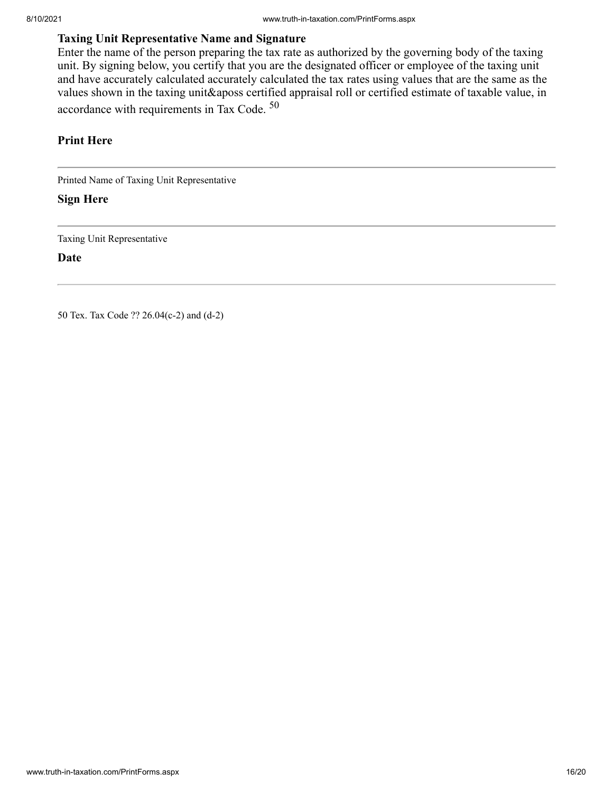### **Taxing Unit Representative Name and Signature**

Enter the name of the person preparing the tax rate as authorized by the governing body of the taxing unit. By signing below, you certify that you are the designated officer or employee of the taxing unit and have accurately calculated accurately calculated the tax rates using values that are the same as the values shown in the taxing unit&aposs certified appraisal roll or certified estimate of taxable value, in accordance with requirements in Tax Code. <sup>50</sup>

#### **Print Here**

Printed Name of Taxing Unit Representative

#### **Sign Here**

Taxing Unit Representative

**Date**

50 Tex. Tax Code ?? 26.04(c-2) and (d-2)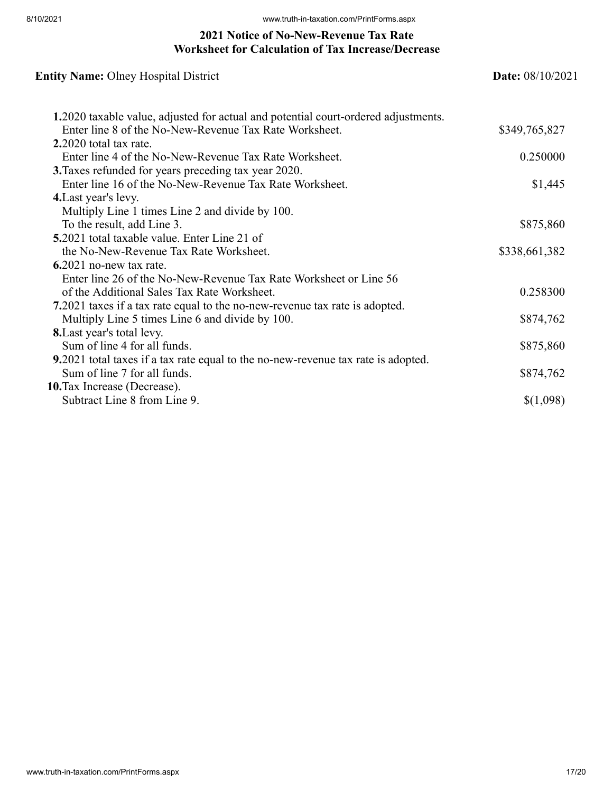### **2021 Notice of No-New-Revenue Tax Rate Worksheet for Calculation of Tax Increase/Decrease**

| <b>Entity Name: Olney Hospital District</b>                                        | <b>Date:</b> $08/10/2021$ |
|------------------------------------------------------------------------------------|---------------------------|
| 1.2020 taxable value, adjusted for actual and potential court-ordered adjustments. |                           |
| Enter line 8 of the No-New-Revenue Tax Rate Worksheet.                             | \$349,765,827             |
| $2.2020$ total tax rate.                                                           |                           |
| Enter line 4 of the No-New-Revenue Tax Rate Worksheet.                             | 0.250000                  |
| <b>3.</b> Taxes refunded for years preceding tax year 2020.                        |                           |
| Enter line 16 of the No-New-Revenue Tax Rate Worksheet.                            | \$1,445                   |
| 4. Last year's levy.                                                               |                           |
| Multiply Line 1 times Line 2 and divide by 100.                                    |                           |
| To the result, add Line 3.                                                         | \$875,860                 |
| <b>5.2021</b> total taxable value. Enter Line 21 of                                |                           |
| the No-New-Revenue Tax Rate Worksheet.                                             | \$338,661,382             |
| $6.2021$ no-new tax rate.                                                          |                           |
| Enter line 26 of the No-New-Revenue Tax Rate Worksheet or Line 56                  |                           |
| of the Additional Sales Tax Rate Worksheet.                                        | 0.258300                  |
| 7.2021 taxes if a tax rate equal to the no-new-revenue tax rate is adopted.        |                           |
| Multiply Line 5 times Line 6 and divide by 100.                                    | \$874,762                 |
| <b>8.</b> Last year's total levy.                                                  |                           |
| Sum of line 4 for all funds.                                                       | \$875,860                 |
| 9.2021 total taxes if a tax rate equal to the no-new-revenue tax rate is adopted.  |                           |
| Sum of line 7 for all funds.                                                       | \$874,762                 |
| 10. Tax Increase (Decrease).                                                       |                           |
| Subtract Line 8 from Line 9.                                                       | \$(1,098)                 |
|                                                                                    |                           |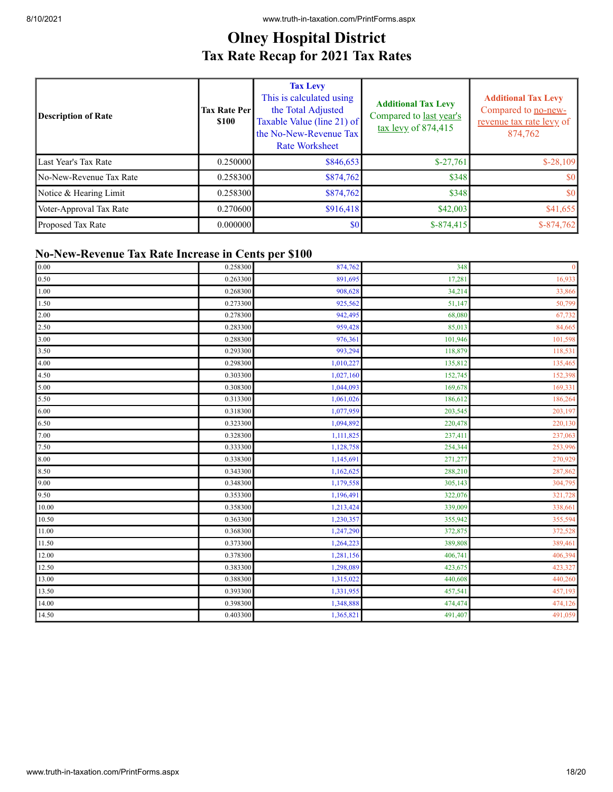# **Olney Hospital District Tax Rate Recap for 2021 Tax Rates**

| <b>Description of Rate</b> | <b>Tax Rate Perl</b><br><b>\$100</b> | <b>Tax Levy</b><br>This is calculated using<br>the Total Adjusted<br>Taxable Value (line 21) of<br>the No-New-Revenue Tax<br><b>Rate Worksheet</b> | <b>Additional Tax Levy</b><br>Compared to last year's<br>$\frac{\text{tax} \text{levy}}{100}$ of 874,415 | <b>Additional Tax Levy</b><br>Compared to no-new-<br>revenue tax rate levy of<br>874,762 |
|----------------------------|--------------------------------------|----------------------------------------------------------------------------------------------------------------------------------------------------|----------------------------------------------------------------------------------------------------------|------------------------------------------------------------------------------------------|
| Last Year's Tax Rate       | 0.250000                             | \$846,653                                                                                                                                          | $$-27,761$                                                                                               | $$-28,109$                                                                               |
| No-New-Revenue Tax Rate    | 0.258300                             | \$874,762                                                                                                                                          | \$348                                                                                                    | <b>SO</b>                                                                                |
| Notice & Hearing Limit     | 0.258300                             | \$874,762                                                                                                                                          | \$348                                                                                                    | \$0                                                                                      |
| Voter-Approval Tax Rate    | 0.270600                             | \$916,418                                                                                                                                          | \$42,003                                                                                                 | \$41,655                                                                                 |
| Proposed Tax Rate          | 0.000000                             | \$0                                                                                                                                                | $$-874,415$                                                                                              | $$-874,762$                                                                              |

### **No-New-Revenue Tax Rate Increase in Cents per \$100**

| 0.00  | 0.258300 | 874,762   | 348     | $\mathbf{0}$ |
|-------|----------|-----------|---------|--------------|
| 0.50  | 0.263300 | 891,695   | 17,281  | 16,933       |
| 1.00  | 0.268300 | 908,628   | 34,214  | 33,866       |
| 1.50  | 0.273300 | 925,562   | 51,147  | 50,799       |
| 2.00  | 0.278300 | 942,495   | 68,080  | 67,732       |
| 2.50  | 0.283300 | 959,428   | 85,013  | 84,665       |
| 3.00  | 0.288300 | 976,361   | 101,946 | 101,598      |
| 3.50  | 0.293300 | 993,294   | 118,879 | 118,531      |
| 4.00  | 0.298300 | 1,010,227 | 135,812 | 135,465      |
| 4.50  | 0.303300 | 1,027,160 | 152,745 | 152,398      |
| 5.00  | 0.308300 | 1,044,093 | 169,678 | 169,331      |
| 5.50  | 0.313300 | 1,061,026 | 186,612 | 186,264      |
| 6.00  | 0.318300 | 1,077,959 | 203,545 | 203,197      |
| 6.50  | 0.323300 | 1,094,892 | 220,478 | 220,130      |
| 7.00  | 0.328300 | 1,111,825 | 237,411 | 237,063      |
| 7.50  | 0.333300 | 1,128,758 | 254,344 | 253,996      |
| 8.00  | 0.338300 | 1,145,691 | 271,277 | 270,929      |
| 8.50  | 0.343300 | 1,162,625 | 288,210 | 287,862      |
| 9.00  | 0.348300 | 1,179,558 | 305,143 | 304,795      |
| 9.50  | 0.353300 | 1,196,491 | 322,076 | 321,728      |
| 10.00 | 0.358300 | 1,213,424 | 339,009 | 338,661      |
| 10.50 | 0.363300 | 1,230,357 | 355,942 | 355,594      |
| 11.00 | 0.368300 | 1,247,290 | 372,875 | 372,528      |
| 11.50 | 0.373300 | 1,264,223 | 389,808 | 389,461      |
| 12.00 | 0.378300 | 1,281,156 | 406,741 | 406,394      |
| 12.50 | 0.383300 | 1,298,089 | 423,675 | 423,327      |
| 13.00 | 0.388300 | 1,315,022 | 440,608 | 440,260      |
| 13.50 | 0.393300 | 1,331,955 | 457,541 | 457,193      |
| 14.00 | 0.398300 | 1,348,888 | 474,474 | 474,126      |
| 14.50 | 0.403300 | 1,365,821 | 491,407 | 491,059      |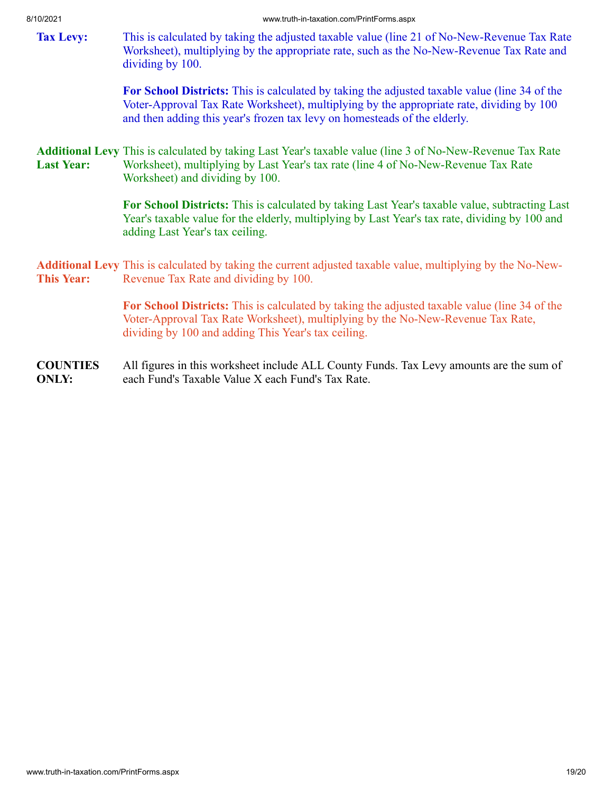<span id="page-18-0"></span>**Tax Levy:** This is calculated by taking the adjusted taxable value (line 21 of No-New-Revenue Tax Rate Worksheet), multiplying by the appropriate rate, such as the No-New-Revenue Tax Rate and dividing by 100.

> **For School Districts:** This is calculated by taking the adjusted taxable value (line 34 of the Voter-Approval Tax Rate Worksheet), multiplying by the appropriate rate, dividing by 100 and then adding this year's frozen tax levy on homesteads of the elderly.

<span id="page-18-1"></span>**Additional Levy** This is calculated by taking Last Year's taxable value (line 3 of No-New-Revenue Tax Rate **Last Year:** Worksheet), multiplying by Last Year's tax rate (line 4 of No-New-Revenue Tax Rate Worksheet) and dividing by 100.

> **For School Districts:** This is calculated by taking Last Year's taxable value, subtracting Last Year's taxable value for the elderly, multiplying by Last Year's tax rate, dividing by 100 and adding Last Year's tax ceiling.

<span id="page-18-2"></span>**Additional Levy** This is calculated by taking the current adjusted taxable value, multiplying by the No-New-**This Year:** Revenue Tax Rate and dividing by 100.

> **For School Districts:** This is calculated by taking the adjusted taxable value (line 34 of the Voter-Approval Tax Rate Worksheet), multiplying by the No-New-Revenue Tax Rate, dividing by 100 and adding This Year's tax ceiling.

**COUNTIES ONLY:** All figures in this worksheet include ALL County Funds. Tax Levy amounts are the sum of each Fund's Taxable Value X each Fund's Tax Rate.